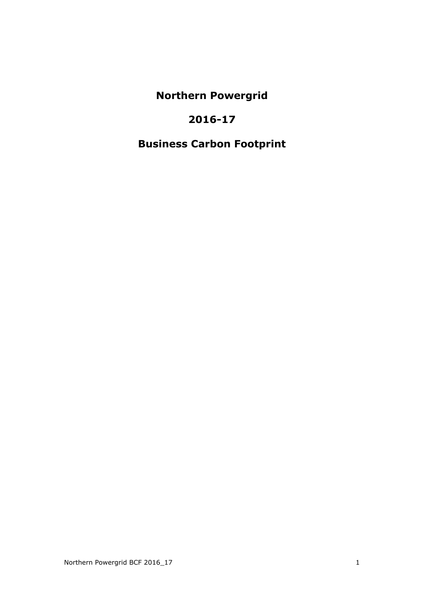**Northern Powergrid**

## **2016-17**

# **Business Carbon Footprint**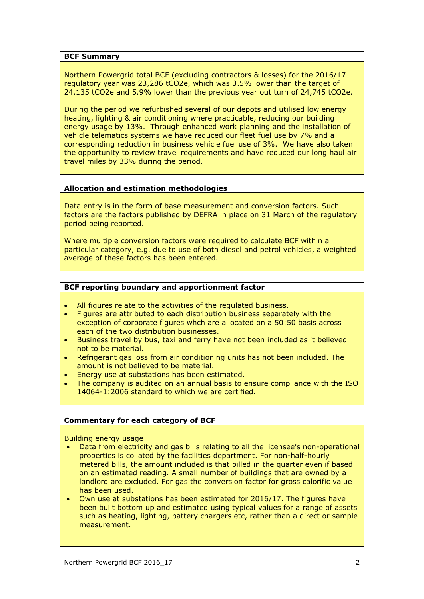#### **BCF Summary**

Northern Powergrid total BCF (excluding contractors & losses) for the 2016/17 regulatory year was 23,286 tCO2e, which was 3.5% lower than the target of 24,135 tCO2e and 5.9% lower than the previous year out turn of 24,745 tCO2e.

During the period we refurbished several of our depots and utilised low energy heating, lighting & air conditioning where practicable, reducing our building energy usage by 13%. Through enhanced work planning and the installation of vehicle telematics systems we have reduced our fleet fuel use by 7% and a corresponding reduction in business vehicle fuel use of 3%. We have also taken the opportunity to review travel requirements and have reduced our long haul air travel miles by 33% during the period.

## **Allocation and estimation methodologies**

Data entry is in the form of base measurement and conversion factors. Such factors are the factors published by DEFRA in place on 31 March of the regulatory period being reported.

Where multiple conversion factors were required to calculate BCF within a particular category, e.g. due to use of both diesel and petrol vehicles, a weighted average of these factors has been entered.

## **BCF reporting boundary and apportionment factor**

- All figures relate to the activities of the regulated business.
- Figures are attributed to each distribution business separately with the exception of corporate figures whch are allocated on a 50:50 basis across each of the two distribution businesses.
- Business travel by bus, taxi and ferry have not been included as it believed not to be material.
- Refrigerant gas loss from air conditioning units has not been included. The amount is not believed to be material.
- Energy use at substations has been estimated.
- The company is audited on an annual basis to ensure compliance with the ISO 14064-1:2006 standard to which we are certified.

## **Commentary for each category of BCF**

Building energy usage

- Data from electricity and gas bills relating to all the licensee's non-operational properties is collated by the facilities department. For non-half-hourly metered bills, the amount included is that billed in the quarter even if based on an estimated reading. A small number of buildings that are owned by a landlord are excluded. For gas the conversion factor for gross calorific value has been used.
- Own use at substations has been estimated for 2016/17. The figures have been built bottom up and estimated using typical values for a range of assets such as heating, lighting, battery chargers etc, rather than a direct or sample measurement.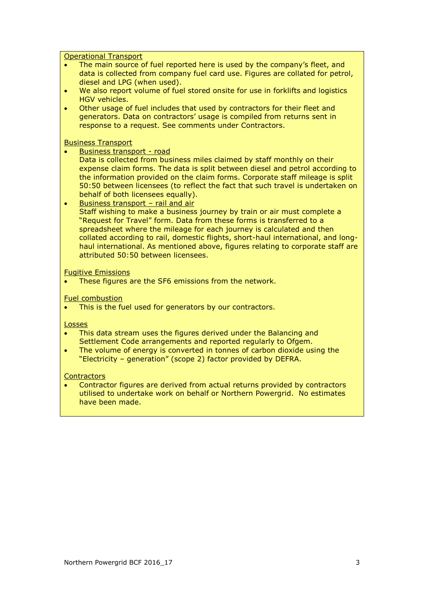Operational Transport

- The main source of fuel reported here is used by the company's fleet, and data is collected from company fuel card use. Figures are collated for petrol, diesel and LPG (when used).
- We also report volume of fuel stored onsite for use in forklifts and logistics HGV vehicles.
- Other usage of fuel includes that used by contractors for their fleet and generators. Data on contractors' usage is compiled from returns sent in response to a request. See comments under Contractors.

Business Transport

Business transport - road

Data is collected from business miles claimed by staff monthly on their expense claim forms. The data is split between diesel and petrol according to the information provided on the claim forms. Corporate staff mileage is split 50:50 between licensees (to reflect the fact that such travel is undertaken on behalf of both licensees equally).

 Business transport – rail and air Staff wishing to make a business journey by train or air must complete a "Request for Travel" form. Data from these forms is transferred to a spreadsheet where the mileage for each journey is calculated and then collated according to rail, domestic flights, short-haul international, and longhaul international. As mentioned above, figures relating to corporate staff are attributed 50:50 between licensees.

#### Fugitive Emissions

These figures are the SF6 emissions from the network.

Fuel combustion

• This is the fuel used for generators by our contractors.

Losses

- This data stream uses the figures derived under the Balancing and Settlement Code arrangements and reported regularly to Ofgem.
- The volume of energy is converted in tonnes of carbon dioxide using the "Electricity – generation" (scope 2) factor provided by DEFRA.

#### **Contractors**

 Contractor figures are derived from actual returns provided by contractors utilised to undertake work on behalf or Northern Powergrid. No estimates have been made.